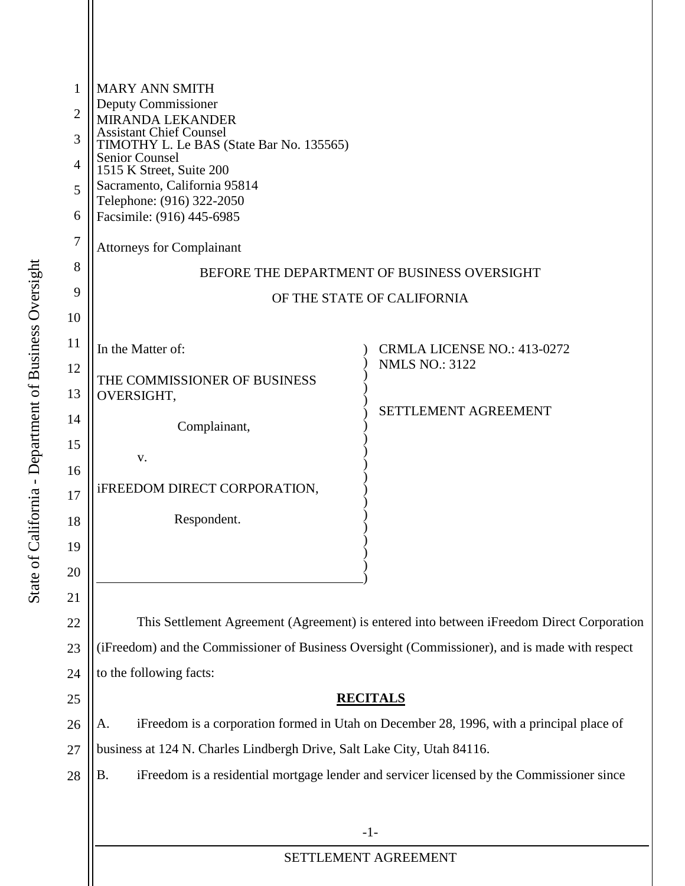| 1              | <b>MARY ANN SMITH</b><br>Deputy Commissioner<br><b>MIRANDA LEKANDER</b><br><b>Assistant Chief Counsel</b>                     |                                    |  |  |
|----------------|-------------------------------------------------------------------------------------------------------------------------------|------------------------------------|--|--|
| $\overline{2}$ |                                                                                                                               |                                    |  |  |
| 3              |                                                                                                                               |                                    |  |  |
| $\overline{4}$ | TIMOTHY L. Le BAS (State Bar No. 135565)<br><b>Senior Counsel</b><br>1515 K Street, Suite 200<br>Sacramento, California 95814 |                                    |  |  |
| 5              |                                                                                                                               |                                    |  |  |
| 6              | Telephone: (916) 322-2050<br>Facsimile: (916) 445-6985                                                                        |                                    |  |  |
| 7              | <b>Attorneys for Complainant</b>                                                                                              |                                    |  |  |
| 8              | BEFORE THE DEPARTMENT OF BUSINESS OVERSIGHT                                                                                   |                                    |  |  |
| 9              | OF THE STATE OF CALIFORNIA                                                                                                    |                                    |  |  |
| 10             |                                                                                                                               |                                    |  |  |
| 11             | In the Matter of:                                                                                                             | <b>CRMLA LICENSE NO.: 413-0272</b> |  |  |
| 12             | THE COMMISSIONER OF BUSINESS                                                                                                  | <b>NMLS NO.: 3122</b>              |  |  |
| 13             | OVERSIGHT,                                                                                                                    |                                    |  |  |
| 14             | Complainant,                                                                                                                  | <b>SETTLEMENT AGREEMENT</b>        |  |  |
| 15             | V.                                                                                                                            |                                    |  |  |
| 16             |                                                                                                                               |                                    |  |  |
| 17             | <b>iFREEDOM DIRECT CORPORATION,</b>                                                                                           |                                    |  |  |
| 18             | Respondent.                                                                                                                   |                                    |  |  |
| 19             |                                                                                                                               |                                    |  |  |
| 20             |                                                                                                                               |                                    |  |  |
| 21             |                                                                                                                               |                                    |  |  |
| 22             | This Settlement Agreement (Agreement) is entered into between iFreedom Direct Corporation                                     |                                    |  |  |
| 23             | (iFreedom) and the Commissioner of Business Oversight (Commissioner), and is made with respect                                |                                    |  |  |
| 24             | to the following facts:                                                                                                       |                                    |  |  |
| 25             | <b>RECITALS</b>                                                                                                               |                                    |  |  |
| 26             | iFreedom is a corporation formed in Utah on December 28, 1996, with a principal place of<br>A.                                |                                    |  |  |
| 27             | business at 124 N. Charles Lindbergh Drive, Salt Lake City, Utah 84116.                                                       |                                    |  |  |
| 28             | <b>B.</b><br>iFreedom is a residential mortgage lender and servicer licensed by the Commissioner since                        |                                    |  |  |
|                |                                                                                                                               |                                    |  |  |
|                |                                                                                                                               | $-1-$                              |  |  |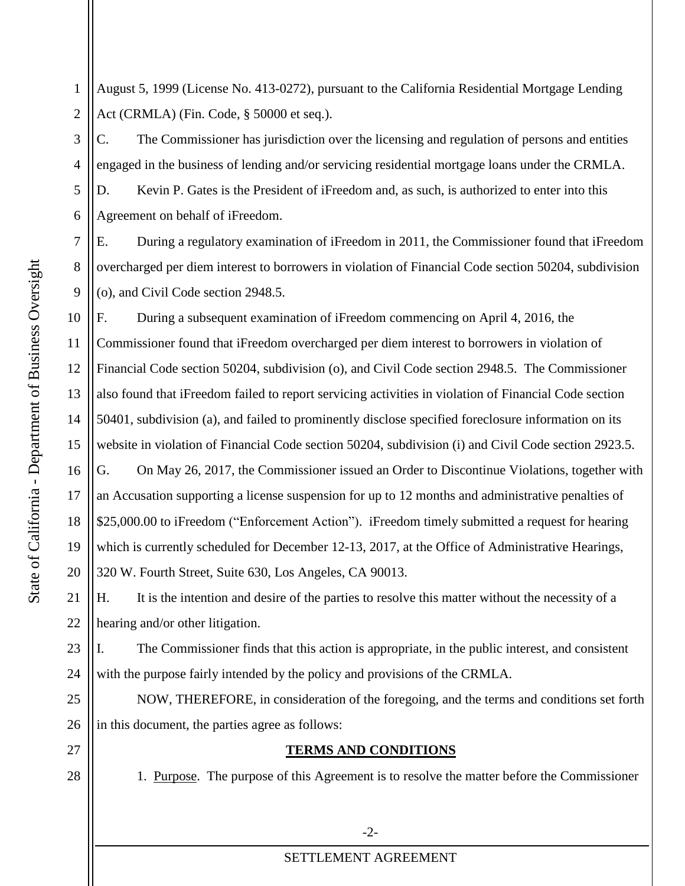August 5, 1999 (License No. 413-0272), pursuant to the California Residential Mortgage Lending 1 2 Act (CRMLA) (Fin. Code, § 50000 et seq.).

5 3 4 6 C. The Commissioner has jurisdiction over the licensing and regulation of persons and entities engaged in the business of lending and/or servicing residential mortgage loans under the CRMLA. D. Kevin P. Gates is the President of iFreedom and, as such, is authorized to enter into this Agreement on behalf of iFreedom.

E. During a regulatory examination of iFreedom in 2011, the Commissioner found that iFreedom overcharged per diem interest to borrowers in violation of Financial Code section 50204, subdivision (o), and Civil Code section 2948.5.

 \$25,000.00 to iFreedom ("Enforcement Action"). iFreedom timely submitted a request for hearing 320 W. Fourth Street, Suite 630, Los Angeles, CA 90013. F. During a subsequent examination of iFreedom commencing on April 4, 2016, the Commissioner found that iFreedom overcharged per diem interest to borrowers in violation of Financial Code section 50204, subdivision (o), and Civil Code section 2948.5. The Commissioner also found that iFreedom failed to report servicing activities in violation of Financial Code section 50401, subdivision (a), and failed to prominently disclose specified foreclosure information on its website in violation of Financial Code section 50204, subdivision (i) and Civil Code section 2923.5. G. On May 26, 2017, the Commissioner issued an Order to Discontinue Violations, together with an Accusation supporting a license suspension for up to 12 months and administrative penalties of which is currently scheduled for December 12-13, 2017, at the Office of Administrative Hearings,

EXECUTE: H. Fourth Street, Suite 630, Los Angeles, Suite 630, Los Angeles, Suite 630, Los Angeles, Suite 630, Los Angeles, Suite 630, Los Angeles, Suite 630, Los Angeles, Suite 630, Los Angeles, Suite 630, Los Angeles, Sui hearing and/or other litigation.

23 24 I. The Commissioner finds that this action is appropriate, in the public interest, and consistent with the purpose fairly intended by the policy and provisions of the CRMLA.

NOW, THEREFORE, in consideration of the foregoing, and the terms and conditions set forth in this document, the parties agree as follows:

# **TERMS AND CONDITIONS**

1. Purpose. The purpose of this Agreement is to resolve the matter before the Commissioner

7

8

9

10

11

12

13

14

15

16

17

18

19

20

21

22

25

26

27

28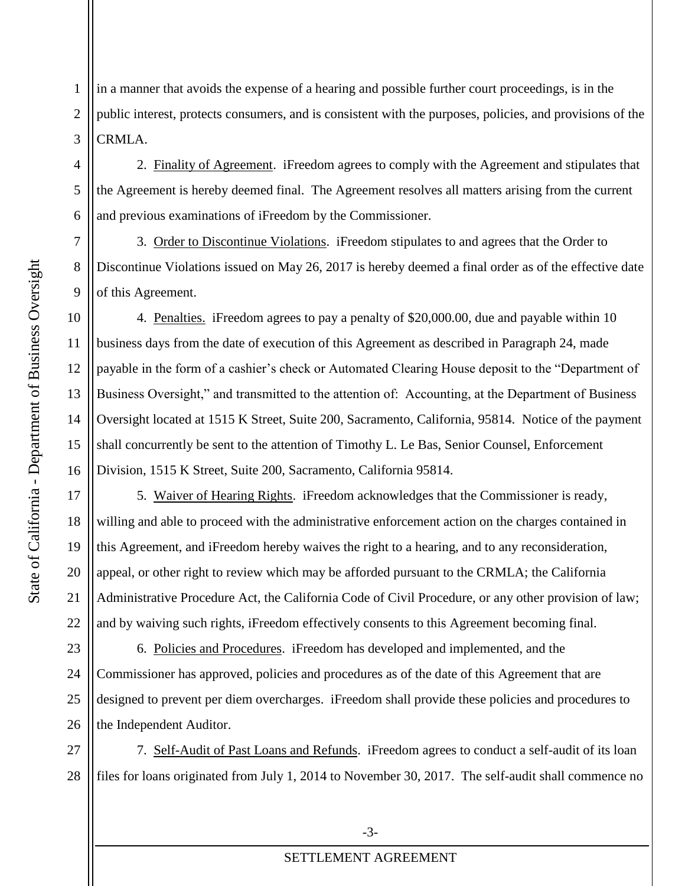1 2 3 in a manner that avoids the expense of a hearing and possible further court proceedings, is in the public interest, protects consumers, and is consistent with the purposes, policies, and provisions of the CRMLA.

2. Finality of Agreement. iFreedom agrees to comply with the Agreement and stipulates that the Agreement is hereby deemed final. The Agreement resolves all matters arising from the current and previous examinations of iFreedom by the Commissioner.

3. Order to Discontinue Violations. iFreedom stipulates to and agrees that the Order to Discontinue Violations issued on May 26, 2017 is hereby deemed a final order as of the effective date of this Agreement.

4. Penalties. iFreedom agrees to pay a penalty of \$20,000.00, due and payable within 10 Oversight located at 1515 K Street, Suite 200, Sacramento, California, 95814. Notice of the payment shall concurrently be sent to the attention of Timothy L. Le Bas, Senior Counsel, Enforcement business days from the date of execution of this Agreement as described in Paragraph 24, made payable in the form of a cashier's check or Automated Clearing House deposit to the "Department of Business Oversight," and transmitted to the attention of: Accounting, at the Department of Business Division, 1515 K Street, Suite 200, Sacramento, California 95814.

 this Agreement, and iFreedom hereby waives the right to a hearing, and to any reconsideration, 5. Waiver of Hearing Rights. iFreedom acknowledges that the Commissioner is ready, willing and able to proceed with the administrative enforcement action on the charges contained in appeal, or other right to review which may be afforded pursuant to the CRMLA; the California Administrative Procedure Act, the California Code of Civil Procedure, or any other provision of law; and by waiving such rights, iFreedom effectively consents to this Agreement becoming final.

23 24 25 26 6. Policies and Procedures. iFreedom has developed and implemented, and the Commissioner has approved, policies and procedures as of the date of this Agreement that are designed to prevent per diem overcharges. iFreedom shall provide these policies and procedures to the Independent Auditor.

 7. Self-Audit of Past Loans and Refunds. iFreedom agrees to conduct a self-audit of its loan 27 28 files for loans originated from July 1, 2014 to November 30, 2017. The self-audit shall commence no

5

6

7

8

9

10

11

12

13

14

15

16

17

18

19

20

21

22

4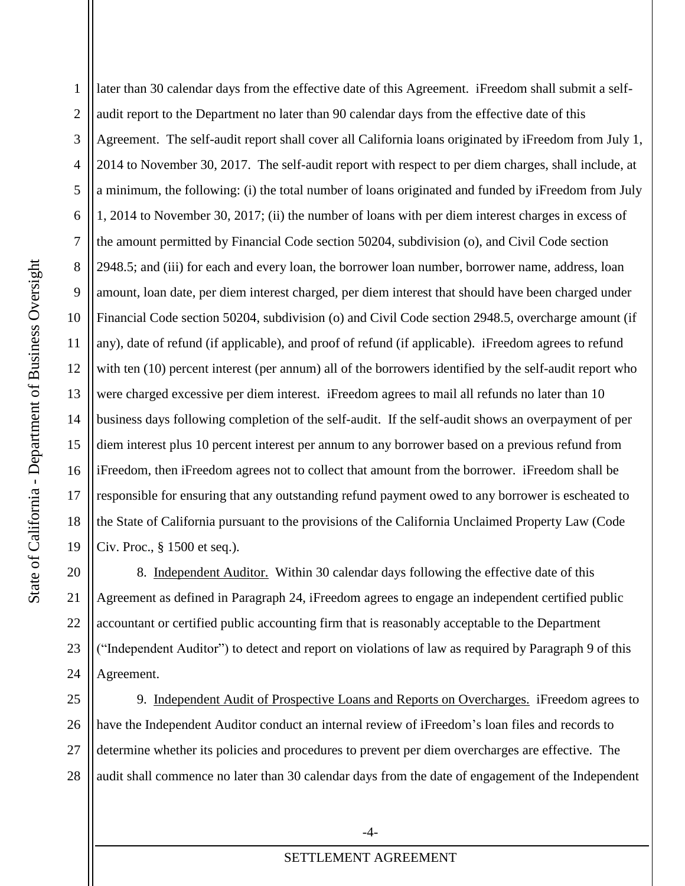1

 2014 to November 30, 2017. The self-audit report with respect to per diem charges, shall include, at Financial Code section 50204, subdivision (o) and Civil Code section 2948.5, overcharge amount (if business days following completion of the self-audit. If the self-audit shows an overpayment of per iFreedom, then iFreedom agrees not to collect that amount from the borrower. iFreedom shall be the State of California pursuant to the provisions of the California Unclaimed Property Law (Code 2 later than 30 calendar days from the effective date of this Agreement. iFreedom shall submit a selfaudit report to the Department no later than 90 calendar days from the effective date of this Agreement. The self-audit report shall cover all California loans originated by iFreedom from July 1, a minimum, the following: (i) the total number of loans originated and funded by iFreedom from July 1, 2014 to November 30, 2017; (ii) the number of loans with per diem interest charges in excess of the amount permitted by Financial Code section 50204, subdivision (o), and Civil Code section 2948.5; and (iii) for each and every loan, the borrower loan number, borrower name, address, loan amount, loan date, per diem interest charged, per diem interest that should have been charged under any), date of refund (if applicable), and proof of refund (if applicable). iFreedom agrees to refund with ten (10) percent interest (per annum) all of the borrowers identified by the self-audit report who were charged excessive per diem interest. iFreedom agrees to mail all refunds no later than 10 diem interest plus 10 percent interest per annum to any borrower based on a previous refund from responsible for ensuring that any outstanding refund payment owed to any borrower is escheated to Civ. Proc., § 1500 et seq.).

22 23 24 8. Independent Auditor. Within 30 calendar days following the effective date of this Agreement as defined in Paragraph 24, iFreedom agrees to engage an independent certified public accountant or certified public accounting firm that is reasonably acceptable to the Department ("Independent Auditor") to detect and report on violations of law as required by Paragraph 9 of this Agreement.

25 26 27 28 9. Independent Audit of Prospective Loans and Reports on Overcharges. iFreedom agrees to have the Independent Auditor conduct an internal review of iFreedom's loan files and records to determine whether its policies and procedures to prevent per diem overcharges are effective. The audit shall commence no later than 30 calendar days from the date of engagement of the Independent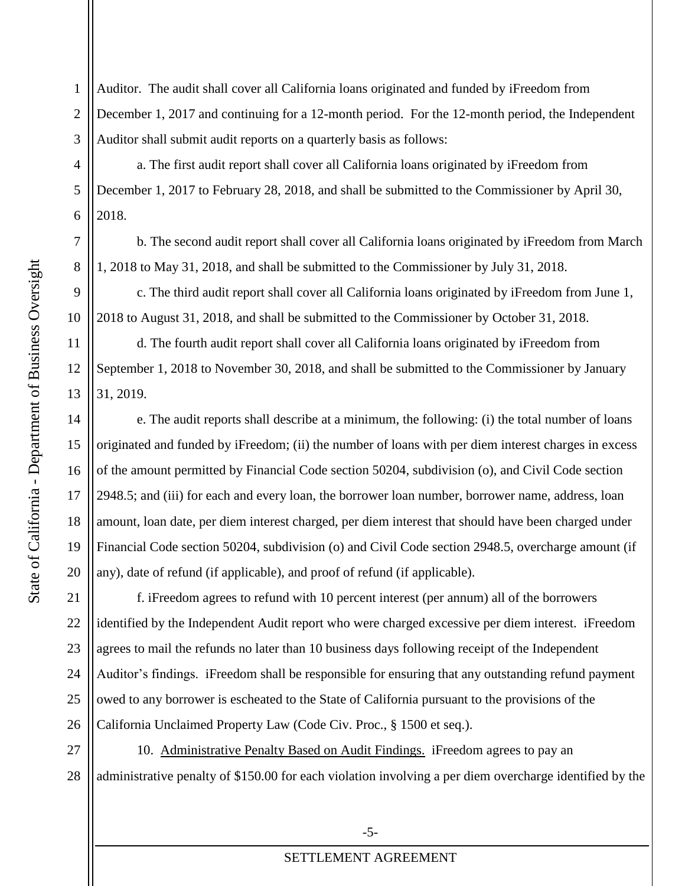5

4

1 2 3 Auditor. The audit shall cover all California loans originated and funded by iFreedom from December 1, 2017 and continuing for a 12-month period. For the 12-month period, the Independent Auditor shall submit audit reports on a quarterly basis as follows:

a. The first audit report shall cover all California loans originated by iFreedom from December 1, 2017 to February 28, 2018, and shall be submitted to the Commissioner by April 30, 2018.

b. The second audit report shall cover all California loans originated by iFreedom from March 1, 2018 to May 31, 2018, and shall be submitted to the Commissioner by July 31, 2018.

c. The third audit report shall cover all California loans originated by iFreedom from June 1, 2018 to August 31, 2018, and shall be submitted to the Commissioner by October 31, 2018.

d. The fourth audit report shall cover all California loans originated by iFreedom from September 1, 2018 to November 30, 2018, and shall be submitted to the Commissioner by January 31, 2019.

 e. The audit reports shall describe at a minimum, the following: (i) the total number of loans Financial Code section 50204, subdivision (o) and Civil Code section 2948.5, overcharge amount (if originated and funded by iFreedom; (ii) the number of loans with per diem interest charges in excess of the amount permitted by Financial Code section 50204, subdivision (o), and Civil Code section 2948.5; and (iii) for each and every loan, the borrower loan number, borrower name, address, loan amount, loan date, per diem interest charged, per diem interest that should have been charged under any), date of refund (if applicable), and proof of refund (if applicable).

 Auditor's findings. iFreedom shall be responsible for ensuring that any outstanding refund payment 21 22 23 24 25 26 f. iFreedom agrees to refund with 10 percent interest (per annum) all of the borrowers identified by the Independent Audit report who were charged excessive per diem interest. iFreedom agrees to mail the refunds no later than 10 business days following receipt of the Independent owed to any borrower is escheated to the State of California pursuant to the provisions of the California Unclaimed Property Law (Code Civ. Proc., § 1500 et seq.).

27 28 10. Administrative Penalty Based on Audit Findings. iFreedom agrees to pay an administrative penalty of \$150.00 for each violation involving a per diem overcharge identified by the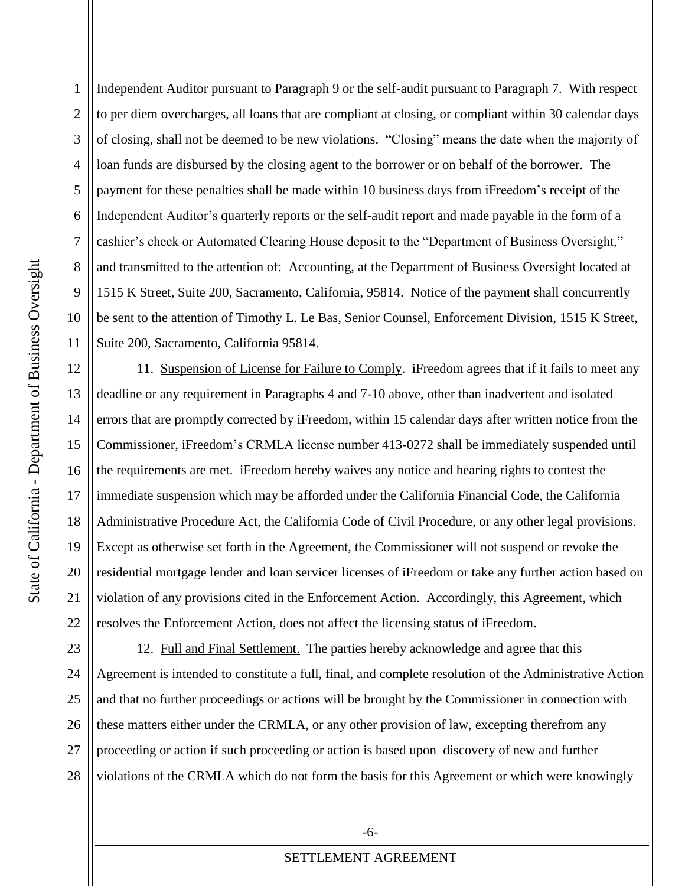1515 K Street, Suite 200, Sacramento, California, 95814. Notice of the payment shall concurrently be sent to the attention of Timothy L. Le Bas, Senior Counsel, Enforcement Division, 1515 K Street, 5 1 2 3 4 6 7 8 9 10 11 Independent Auditor pursuant to Paragraph 9 or the self-audit pursuant to Paragraph 7. With respect to per diem overcharges, all loans that are compliant at closing, or compliant within 30 calendar days of closing, shall not be deemed to be new violations. "Closing" means the date when the majority of loan funds are disbursed by the closing agent to the borrower or on behalf of the borrower. The payment for these penalties shall be made within 10 business days from iFreedom's receipt of the Independent Auditor's quarterly reports or the self-audit report and made payable in the form of a cashier's check or Automated Clearing House deposit to the "Department of Business Oversight," and transmitted to the attention of: Accounting, at the Department of Business Oversight located at Suite 200, Sacramento, California 95814.

 errors that are promptly corrected by iFreedom, within 15 calendar days after written notice from the Administrative Procedure Act, the California Code of Civil Procedure, or any other legal provisions. Except as otherwise set forth in the Agreement, the Commissioner will not suspend or revoke the 11. Suspension of License for Failure to Comply. iFreedom agrees that if it fails to meet any deadline or any requirement in Paragraphs 4 and 7-10 above, other than inadvertent and isolated Commissioner, iFreedom's CRMLA license number 413-0272 shall be immediately suspended until the requirements are met. iFreedom hereby waives any notice and hearing rights to contest the immediate suspension which may be afforded under the California Financial Code, the California residential mortgage lender and loan servicer licenses of iFreedom or take any further action based on violation of any provisions cited in the Enforcement Action. Accordingly, this Agreement, which resolves the Enforcement Action, does not affect the licensing status of iFreedom.

 12. Full and Final Settlement. The parties hereby acknowledge and agree that this 23 24 25 26 27 28 Agreement is intended to constitute a full, final, and complete resolution of the Administrative Action and that no further proceedings or actions will be brought by the Commissioner in connection with these matters either under the CRMLA, or any other provision of law, excepting therefrom any proceeding or action if such proceeding or action is based upon discovery of new and further violations of the CRMLA which do not form the basis for this Agreement or which were knowingly

12

13

14

15

16

17

18

19

20

21

22

-6-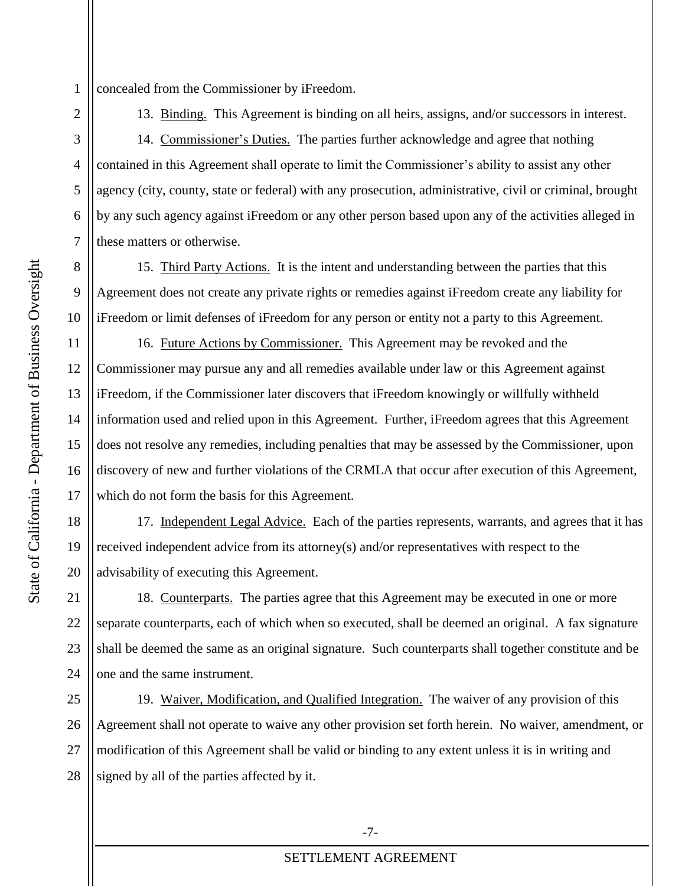1 concealed from the Commissioner by iFreedom.

13. Binding. This Agreement is binding on all heirs, assigns, and/or successors in interest.

14. Commissioner's Duties. The parties further acknowledge and agree that nothing 5 3 4 6 7 contained in this Agreement shall operate to limit the Commissioner's ability to assist any other agency (city, county, state or federal) with any prosecution, administrative, civil or criminal, brought by any such agency against iFreedom or any other person based upon any of the activities alleged in these matters or otherwise.

 15. Third Party Actions. It is the intent and understanding between the parties that this Agreement does not create any private rights or remedies against iFreedom create any liability for 8 10 iFreedom or limit defenses of iFreedom for any person or entity not a party to this Agreement.

 16. Future Actions by Commissioner. This Agreement may be revoked and the Commissioner may pursue any and all remedies available under law or this Agreement against iFreedom, if the Commissioner later discovers that iFreedom knowingly or willfully withheld information used and relied upon in this Agreement. Further, iFreedom agrees that this Agreement does not resolve any remedies, including penalties that may be assessed by the Commissioner, upon discovery of new and further violations of the CRMLA that occur after execution of this Agreement, which do not form the basis for this Agreement.

17. Independent Legal Advice. Each of the parties represents, warrants, and agrees that it has 18 19 20 received independent advice from its attorney(s) and/or representatives with respect to the advisability of executing this Agreement.

 18. Counterparts. The parties agree that this Agreement may be executed in one or more 23 24 separate counterparts, each of which when so executed, shall be deemed an original. A fax signature shall be deemed the same as an original signature. Such counterparts shall together constitute and be one and the same instrument.

19. Waiver, Modification, and Qualified Integration. The waiver of any provision of this 25 26 27 28 Agreement shall not operate to waive any other provision set forth herein. No waiver, amendment, or modification of this Agreement shall be valid or binding to any extent unless it is in writing and signed by all of the parties affected by it.

2

9

11

12

13

14

15

16

17

21

22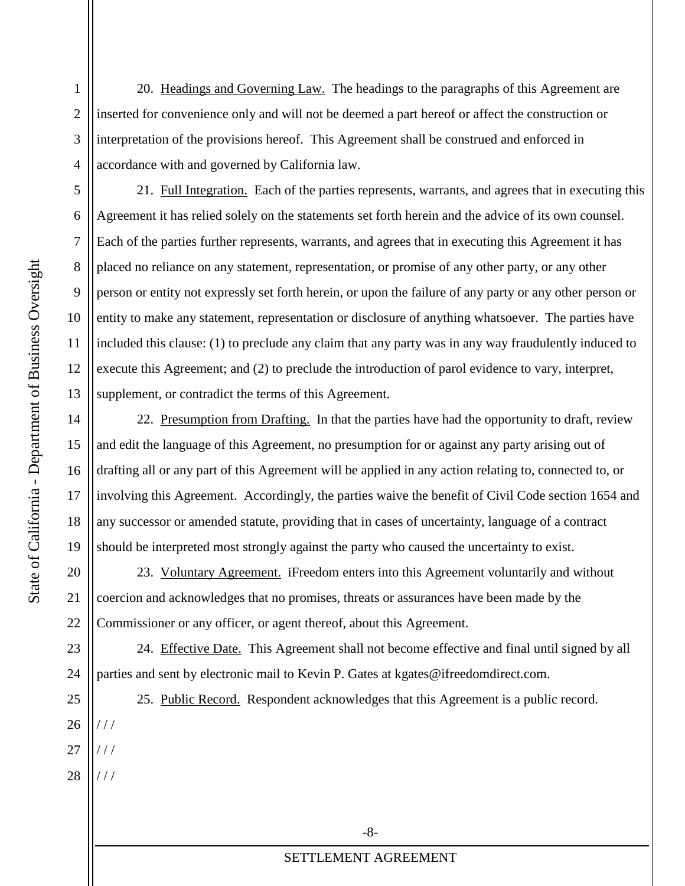20. Headings and Governing Law. The headings to the paragraphs of this Agreement are inserted for convenience only and will not be deemed a part hereof or affect the construction or interpretation of the provisions hereof. This Agreement shall be construed and enforced in accordance with and governed by California law.

21. Full Integration. Each of the parties represents, warrants, and agrees that in executing this Agreement it has relied solely on the statements set forth herein and the advice of its own counsel. Each of the parties further represents, warrants, and agrees that in executing this Agreement it has placed no reliance on any statement, representation, or promise of any other party, or any other person or entity not expressly set forth herein, or upon the failure of any party or any other person or entity to make any statement, representation or disclosure of anything whatsoever. The parties have included this clause: (1) to preclude any claim that any party was in any way fraudulently induced to execute this Agreement; and (2) to preclude the introduction of parol evidence to vary, interpret, supplement, or contradict the terms of this Agreement.

22. Presumption from Drafting. In that the parties have had the opportunity to draft, review involving this Agreement. Accordingly, the parties waive the benefit of Civil Code section 1654 and and edit the language of this Agreement, no presumption for or against any party arising out of drafting all or any part of this Agreement will be applied in any action relating to, connected to, or any successor or amended statute, providing that in cases of uncertainty, language of a contract should be interpreted most strongly against the party who caused the uncertainty to exist.

23. Voluntary Agreement. iFreedom enters into this Agreement voluntarily and without coercion and acknowledges that no promises, threats or assurances have been made by the Commissioner or any officer, or agent thereof, about this Agreement.

24. Effective Date. This Agreement shall not become effective and final until signed by all 23 24 parties and sent by electronic mail to Kevin P. Gates at kgates@ifreedomdirect.com.

25. Public Record. Respondent acknowledges that this Agreement is a public record.

- / / /
- 28 / / /

5

6

7

8

9

10

11

12

13

14

15

16

17

18

19

20

21

22

1

2

3

4